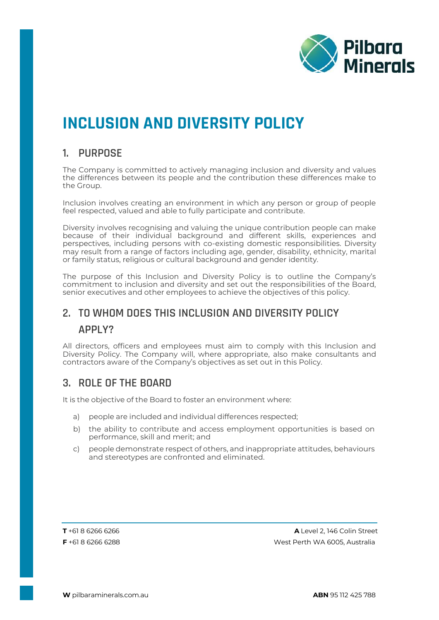

# **INCLUSION AND DIVERSITY POLICY**

#### **1. PURPOSE**

The Company is committed to actively managing inclusion and diversity and values the differences between its people and the contribution these differences make to the Group.

Inclusion involves creating an environment in which any person or group of people feel respected, valued and able to fully participate and contribute.

Diversity involves recognising and valuing the unique contribution people can make because of their individual background and different skills, experiences and perspectives, including persons with co-existing domestic responsibilities. Diversity may result from a range of factors including age, gender, disability, ethnicity, marital or family status, religious or cultural background and gender identity.

The purpose of this Inclusion and Diversity Policy is to outline the Company's commitment to inclusion and diversity and set out the responsibilities of the Board, senior executives and other employees to achieve the objectives of this policy.

## **2. TO WHOM DOES THIS INCLUSION AND DIVERSITY POLICY APPLY?**

All directors, officers and employees must aim to comply with this Inclusion and Diversity Policy. The Company will, where appropriate, also make consultants and contractors aware of the Company's objectives as set out in this Policy.

### **3. ROLE OF THE BOARD**

It is the objective of the Board to foster an environment where:

- a) people are included and individual differences respected;
- b) the ability to contribute and access employment opportunities is based on performance, skill and merit; and
- c) people demonstrate respect of others, and inappropriate attitudes, behaviours and stereotypes are confronted and eliminated.

**T** +61 8 6266 6266 **A** Level 2, 146 Colin Street **F** +61 8 6266 6288 West Perth WA 6005, Australia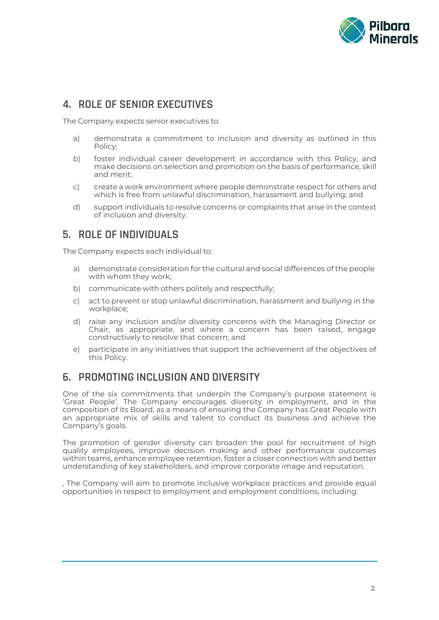

#### **4. ROLE OF SENIOR EXECUTIVES**

The Company expects senior executives to:

- a) demonstrate a commitment to inclusion and diversity as outlined in this Policy;
- b) foster individual career development in accordance with this Policy, and make decisions on selection and promotion on the basis of performance, skill and merit;
- c) create a work environment where people demonstrate respect for others and which is free from unlawful discrimination, harassment and bullying; and
- d) support individuals to resolve concerns or complaints that arise in the context of inclusion and diversity.

#### **5. ROLE OF INDIVIDUALS**

The Company expects each individual to:

- a) demonstrate consideration for the cultural and social differences of the people with whom they work;
- b) communicate with others politely and respectfully;
- c) act to prevent or stop unlawful discrimination, harassment and bullying in the workplace;
- d) raise any inclusion and/or diversity concerns with the Managing Director or Chair, as appropriate, and where a concern has been raised, engage constructively to resolve that concern; and
- e) participate in any initiatives that support the achievement of the objectives of this Policy.

#### **6. PROMOTING INCLUSION AND DIVERSITY**

One of the six commitments that underpin the Company's purpose statement is 'Great People'. The Company encourages diversity in employment, and in the composition of its Board, as a means of ensuring the Company has Great People with an appropriate mix of skills and talent to conduct its business and achieve the Company's goals.

The promotion of gender diversity can broaden the pool for recruitment of high quality employees, improve decision making and other performance outcomes within teams, enhance employee retention, foster a closer connection with and better understanding of key stakeholders, and improve corporate image and reputation.

, The Company will aim to promote inclusive workplace practices and provide equal opportunities in respect to employment and employment conditions, including: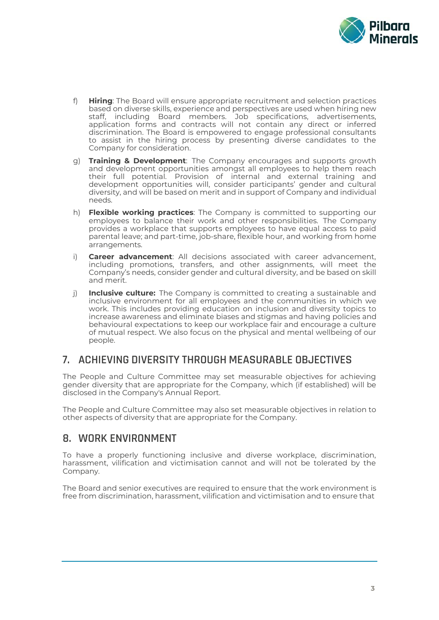

- f) **Hiring**: The Board will ensure appropriate recruitment and selection practices based on diverse skills, experience and perspectives are used when hiring new staff, including Board members. Job specifications, advertisements, application forms and contracts will not contain any direct or inferred discrimination. The Board is empowered to engage professional consultants to assist in the hiring process by presenting diverse candidates to the Company for consideration.
- g) **Training & Development**: The Company encourages and supports growth and development opportunities amongst all employees to help them reach their full potential. Provision of internal and external training and development opportunities will, consider participants' gender and cultural diversity, and will be based on merit and in support of Company and individual needs.
- h) **Flexible working practices**: The Company is committed to supporting our employees to balance their work and other responsibilities. The Company provides a workplace that supports employees to have equal access to paid parental leave; and part-time, job-share, flexible hour, and working from home arrangements.
- i) **Career advancement**: All decisions associated with career advancement, including promotions, transfers, and other assignments, will meet the Company's needs, consider gender and cultural diversity, and be based on skill and merit.
- j) **Inclusive culture:** The Company is committed to creating a sustainable and inclusive environment for all employees and the communities in which we work. This includes providing education on inclusion and diversity topics to increase awareness and eliminate biases and stigmas and having policies and behavioural expectations to keep our workplace fair and encourage a culture of mutual respect. We also focus on the physical and mental wellbeing of our people.

#### **7. ACHIEVING DIVERSITY THROUGH MEASURABLE OBJECTIVES**

The People and Culture Committee may set measurable objectives for achieving gender diversity that are appropriate for the Company, which (if established) will be disclosed in the Company's Annual Report.

The People and Culture Committee may also set measurable objectives in relation to other aspects of diversity that are appropriate for the Company.

#### **8. WORK ENVIRONMENT**

To have a properly functioning inclusive and diverse workplace, discrimination, harassment, vilification and victimisation cannot and will not be tolerated by the Company.

The Board and senior executives are required to ensure that the work environment is free from discrimination, harassment, vilification and victimisation and to ensure that